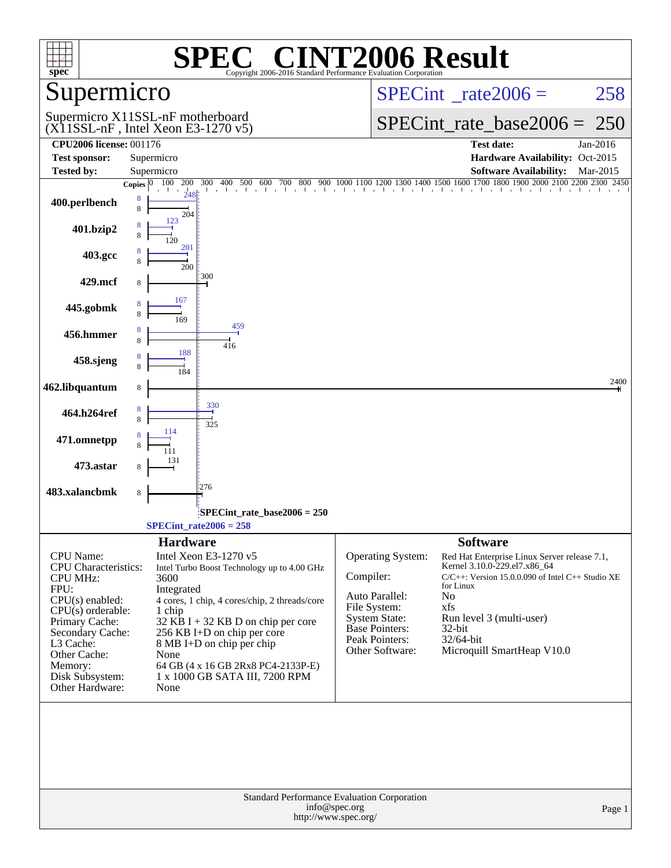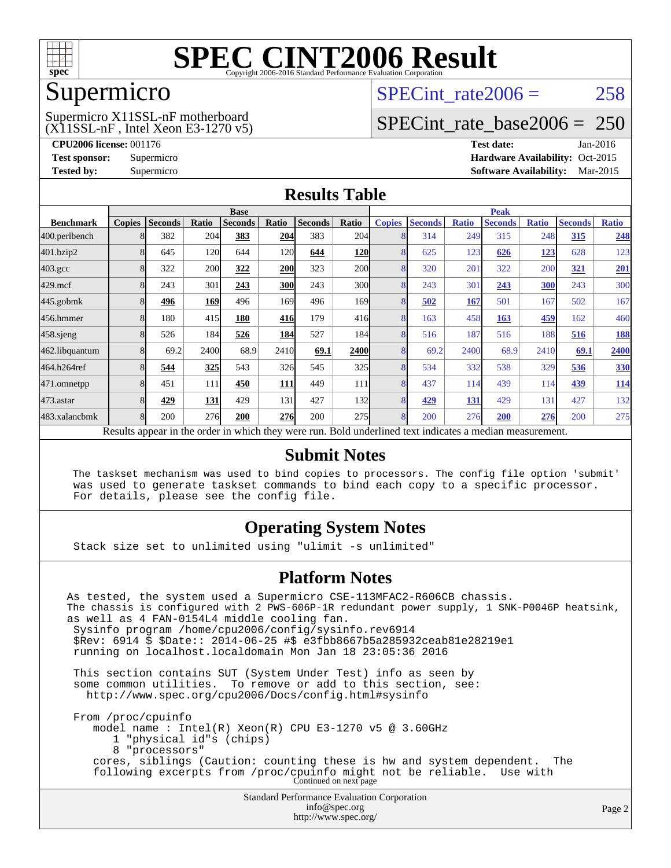

### Supermicro

#### (X11SSL-nF , Intel Xeon E3-1270 v5) Supermicro X11SSL-nF motherboard

SPECint rate $2006 = 258$ 

## [SPECint\\_rate\\_base2006 =](http://www.spec.org/auto/cpu2006/Docs/result-fields.html#SPECintratebase2006) 250

**[CPU2006 license:](http://www.spec.org/auto/cpu2006/Docs/result-fields.html#CPU2006license)** 001176 **[Test date:](http://www.spec.org/auto/cpu2006/Docs/result-fields.html#Testdate)** Jan-2016 **[Test sponsor:](http://www.spec.org/auto/cpu2006/Docs/result-fields.html#Testsponsor)** Supermicro Supermicro **[Hardware Availability:](http://www.spec.org/auto/cpu2006/Docs/result-fields.html#HardwareAvailability)** Oct-2015 **[Tested by:](http://www.spec.org/auto/cpu2006/Docs/result-fields.html#Testedby)** Supermicro **Supermicro [Software Availability:](http://www.spec.org/auto/cpu2006/Docs/result-fields.html#SoftwareAvailability)** Mar-2015

#### **[Results Table](http://www.spec.org/auto/cpu2006/Docs/result-fields.html#ResultsTable)**

|                    | <b>Base</b>   |                |            |                |            |                |                  |               | <b>Peak</b>    |              |                                                                                                          |              |                |              |  |
|--------------------|---------------|----------------|------------|----------------|------------|----------------|------------------|---------------|----------------|--------------|----------------------------------------------------------------------------------------------------------|--------------|----------------|--------------|--|
| <b>Benchmark</b>   | <b>Copies</b> | <b>Seconds</b> | Ratio      | <b>Seconds</b> | Ratio      | <b>Seconds</b> | Ratio            | <b>Copies</b> | <b>Seconds</b> | <b>Ratio</b> | <b>Seconds</b>                                                                                           | <b>Ratio</b> | <b>Seconds</b> | <b>Ratio</b> |  |
| 400.perlbench      |               | 382            | 204        | 383            | 204        | 383            | 204              |               | 314            | 249          | 315                                                                                                      | 248          | 315            | 248          |  |
| 401.bzip2          |               | 645            | 120        | 644            | <b>120</b> | 644            | <b>120</b>       |               | 625            | 123          | 626                                                                                                      | <u> 123</u>  | 628            | 123          |  |
| $403.\mathrm{gcc}$ |               | 322            | <b>200</b> | 322            | <b>200</b> | 323            | 200              | 8             | 320            | 201          | 322                                                                                                      | 200          | 321            | 201          |  |
| $429$ .mcf         |               | 243            | 301        | 243            | <b>300</b> | 243            | 300l             | 8             | 243            | 301          | 243                                                                                                      | 300          | 243            | 300          |  |
| $445$ .gobmk       |               | 496            | 169        | 496            | 169        | 496            | 169 <sub>l</sub> |               | 502            | 167          | 501                                                                                                      | 167          | 502            | 167          |  |
| 456.hmmer          |               | 180            | 415        | 180            | 416        | 179            | 416              | 8             | 163            | 458          | 163                                                                                                      | 459          | 162            | 460          |  |
| $458$ .sjeng       |               | 526            | 184        | 526            | 184        | 527            | 184              | 8             | 516            | 187          | 516                                                                                                      | 188          | 516            | <u>188</u>   |  |
| 462.libquantum     |               | 69.2           | 2400       | 68.9           | 2410       | 69.1           | 2400             |               | 69.2           | 2400         | 68.9                                                                                                     | 2410         | 69.1           | 2400         |  |
| 464.h264ref        |               | 544            | 325        | 543            | 326        | 545            | 325              | 8             | 534            | 332          | 538                                                                                                      | 329          | 536            | <b>330</b>   |  |
| 471.omnetpp        | 8             | 451            | 111        | 450            | 111        | 449            | 111              | 8             | 437            | 114          | 439                                                                                                      | 114          | 439            | <u>114</u>   |  |
| $473$ . astar      |               | 429            | 131        | 429            | 131        | 427            | 132              | 8             | 429            | 131          | 429                                                                                                      | 131          | 427            | 132          |  |
| 483.xalancbmk      | 8             | 200            | 276        | 200            | <b>276</b> | 200            | 275              | 8             | 200            | 276          | 200                                                                                                      | 276          | 200            | 275          |  |
|                    |               |                |            |                |            |                |                  |               |                |              | Results appear in the order in which they were run. Bold underlined text indicates a median measurement. |              |                |              |  |

#### **[Submit Notes](http://www.spec.org/auto/cpu2006/Docs/result-fields.html#SubmitNotes)**

 The taskset mechanism was used to bind copies to processors. The config file option 'submit' was used to generate taskset commands to bind each copy to a specific processor. For details, please see the config file.

#### **[Operating System Notes](http://www.spec.org/auto/cpu2006/Docs/result-fields.html#OperatingSystemNotes)**

Stack size set to unlimited using "ulimit -s unlimited"

#### **[Platform Notes](http://www.spec.org/auto/cpu2006/Docs/result-fields.html#PlatformNotes)**

Standard Performance Evaluation Corporation [info@spec.org](mailto:info@spec.org) As tested, the system used a Supermicro CSE-113MFAC2-R606CB chassis. The chassis is configured with 2 PWS-606P-1R redundant power supply, 1 SNK-P0046P heatsink, as well as 4 FAN-0154L4 middle cooling fan. Sysinfo program /home/cpu2006/config/sysinfo.rev6914 \$Rev: 6914 \$ \$Date:: 2014-06-25 #\$ e3fbb8667b5a285932ceab81e28219e1 running on localhost.localdomain Mon Jan 18 23:05:36 2016 This section contains SUT (System Under Test) info as seen by some common utilities. To remove or add to this section, see: <http://www.spec.org/cpu2006/Docs/config.html#sysinfo> From /proc/cpuinfo model name : Intel(R) Xeon(R) CPU E3-1270 v5 @ 3.60GHz 1 "physical id"s (chips) 8 "processors" cores, siblings (Caution: counting these is hw and system dependent. The following excerpts from /proc/cpuinfo might not be reliable. Use with Continued on next page

<http://www.spec.org/>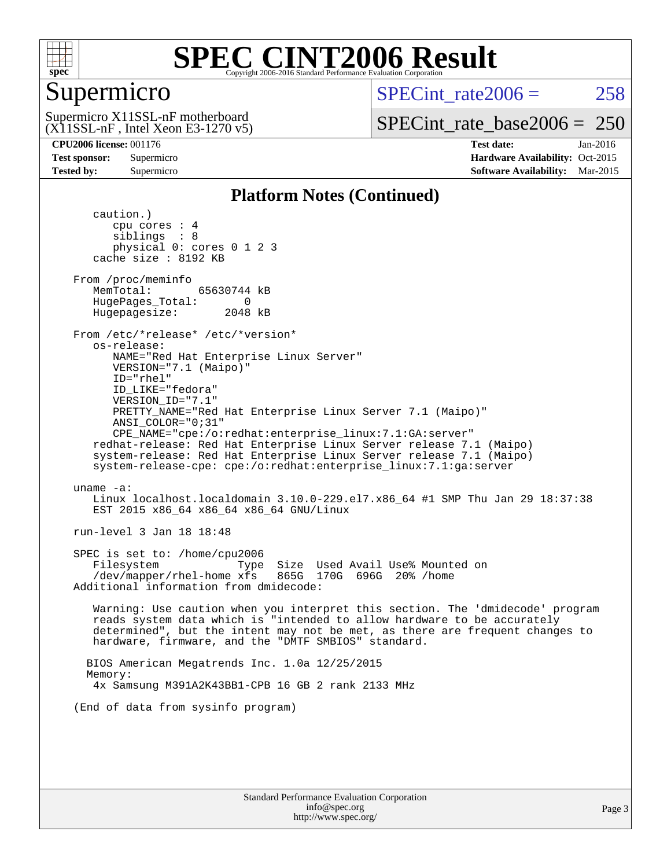

## Supermicro

SPECint rate $2006 = 258$ 

(X11SSL-nF , Intel Xeon E3-1270 v5) Supermicro X11SSL-nF motherboard

[SPECint\\_rate\\_base2006 =](http://www.spec.org/auto/cpu2006/Docs/result-fields.html#SPECintratebase2006) 250

**[CPU2006 license:](http://www.spec.org/auto/cpu2006/Docs/result-fields.html#CPU2006license)** 001176 **[Test date:](http://www.spec.org/auto/cpu2006/Docs/result-fields.html#Testdate)** Jan-2016 **[Test sponsor:](http://www.spec.org/auto/cpu2006/Docs/result-fields.html#Testsponsor)** Supermicro Supermicro **[Hardware Availability:](http://www.spec.org/auto/cpu2006/Docs/result-fields.html#HardwareAvailability)** Oct-2015 **[Tested by:](http://www.spec.org/auto/cpu2006/Docs/result-fields.html#Testedby)** Supermicro **Supermicro [Software Availability:](http://www.spec.org/auto/cpu2006/Docs/result-fields.html#SoftwareAvailability)** Mar-2015

#### **[Platform Notes \(Continued\)](http://www.spec.org/auto/cpu2006/Docs/result-fields.html#PlatformNotes)**

 caution.) cpu cores : 4 siblings : 8 physical 0: cores 0 1 2 3 cache size : 8192 KB From /proc/meminfo MemTotal: 65630744 kB HugePages\_Total: 0<br>Hugepagesize: 2048 kB Hugepagesize: From /etc/\*release\* /etc/\*version\* os-release: NAME="Red Hat Enterprise Linux Server" VERSION="7.1 (Maipo)" ID="rhel" ID\_LIKE="fedora" VERSION\_ID="7.1" PRETTY\_NAME="Red Hat Enterprise Linux Server 7.1 (Maipo)" ANSI\_COLOR="0;31" CPE\_NAME="cpe:/o:redhat:enterprise\_linux:7.1:GA:server" redhat-release: Red Hat Enterprise Linux Server release 7.1 (Maipo) system-release: Red Hat Enterprise Linux Server release 7.1 (Maipo) system-release-cpe: cpe:/o:redhat:enterprise\_linux:7.1:ga:server uname -a: Linux localhost.localdomain 3.10.0-229.el7.x86\_64 #1 SMP Thu Jan 29 18:37:38 EST 2015 x86\_64 x86\_64 x86\_64 GNU/Linux run-level 3 Jan 18 18:48 SPEC is set to: /home/cpu2006 Filesystem Type Size Used Avail Use% Mounted on  $/$ dev/mapper/rhel-home xfs Additional information from dmidecode: Warning: Use caution when you interpret this section. The 'dmidecode' program reads system data which is "intended to allow hardware to be accurately determined", but the intent may not be met, as there are frequent changes to hardware, firmware, and the "DMTF SMBIOS" standard. BIOS American Megatrends Inc. 1.0a 12/25/2015 Memory: 4x Samsung M391A2K43BB1-CPB 16 GB 2 rank 2133 MHz (End of data from sysinfo program)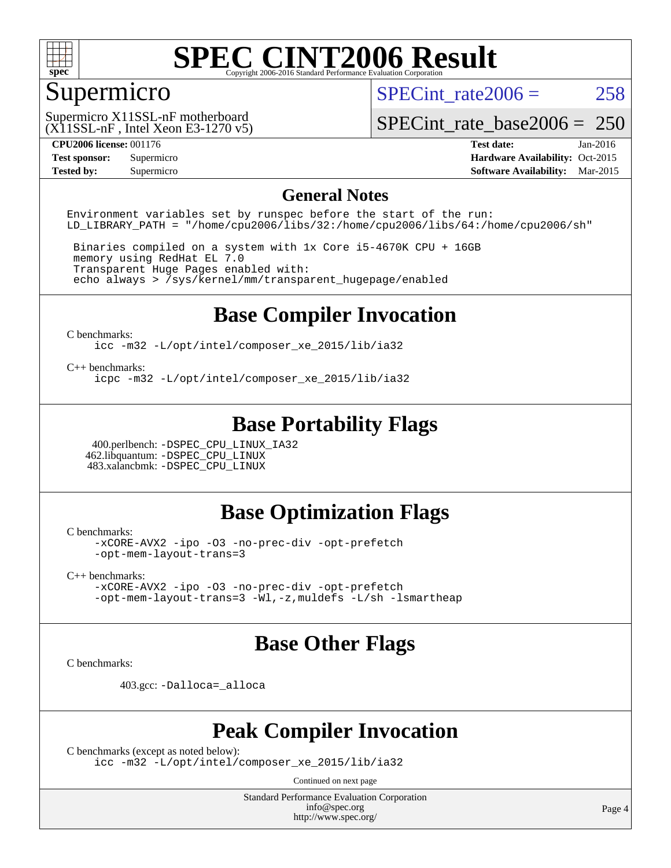

## Supermicro

SPECint rate $2006 = 258$ 

(X11SSL-nF , Intel Xeon E3-1270 v5) Supermicro X11SSL-nF motherboard

[SPECint\\_rate\\_base2006 =](http://www.spec.org/auto/cpu2006/Docs/result-fields.html#SPECintratebase2006) 250

**[CPU2006 license:](http://www.spec.org/auto/cpu2006/Docs/result-fields.html#CPU2006license)** 001176 **[Test date:](http://www.spec.org/auto/cpu2006/Docs/result-fields.html#Testdate)** Jan-2016 **[Test sponsor:](http://www.spec.org/auto/cpu2006/Docs/result-fields.html#Testsponsor)** Supermicro Supermicro **[Hardware Availability:](http://www.spec.org/auto/cpu2006/Docs/result-fields.html#HardwareAvailability)** Oct-2015 **[Tested by:](http://www.spec.org/auto/cpu2006/Docs/result-fields.html#Testedby)** Supermicro **Supermicro [Software Availability:](http://www.spec.org/auto/cpu2006/Docs/result-fields.html#SoftwareAvailability)** Mar-2015

#### **[General Notes](http://www.spec.org/auto/cpu2006/Docs/result-fields.html#GeneralNotes)**

Environment variables set by runspec before the start of the run: LD LIBRARY PATH = "/home/cpu2006/libs/32:/home/cpu2006/libs/64:/home/cpu2006/sh"

 Binaries compiled on a system with 1x Core i5-4670K CPU + 16GB memory using RedHat EL 7.0 Transparent Huge Pages enabled with: echo always > /sys/kernel/mm/transparent\_hugepage/enabled

### **[Base Compiler Invocation](http://www.spec.org/auto/cpu2006/Docs/result-fields.html#BaseCompilerInvocation)**

[C benchmarks](http://www.spec.org/auto/cpu2006/Docs/result-fields.html#Cbenchmarks):

[icc -m32 -L/opt/intel/composer\\_xe\\_2015/lib/ia32](http://www.spec.org/cpu2006/results/res2016q1/cpu2006-20160120-38733.flags.html#user_CCbase_intel_icc_011b86df29f8c679b747245588698a4d)

[C++ benchmarks:](http://www.spec.org/auto/cpu2006/Docs/result-fields.html#CXXbenchmarks)

[icpc -m32 -L/opt/intel/composer\\_xe\\_2015/lib/ia32](http://www.spec.org/cpu2006/results/res2016q1/cpu2006-20160120-38733.flags.html#user_CXXbase_intel_icpc_c2c99686a1a582c3e0de0b4806b02cea)

### **[Base Portability Flags](http://www.spec.org/auto/cpu2006/Docs/result-fields.html#BasePortabilityFlags)**

 400.perlbench: [-DSPEC\\_CPU\\_LINUX\\_IA32](http://www.spec.org/cpu2006/results/res2016q1/cpu2006-20160120-38733.flags.html#b400.perlbench_baseCPORTABILITY_DSPEC_CPU_LINUX_IA32) 462.libquantum: [-DSPEC\\_CPU\\_LINUX](http://www.spec.org/cpu2006/results/res2016q1/cpu2006-20160120-38733.flags.html#b462.libquantum_baseCPORTABILITY_DSPEC_CPU_LINUX) 483.xalancbmk: [-DSPEC\\_CPU\\_LINUX](http://www.spec.org/cpu2006/results/res2016q1/cpu2006-20160120-38733.flags.html#b483.xalancbmk_baseCXXPORTABILITY_DSPEC_CPU_LINUX)

#### **[Base Optimization Flags](http://www.spec.org/auto/cpu2006/Docs/result-fields.html#BaseOptimizationFlags)**

[C benchmarks](http://www.spec.org/auto/cpu2006/Docs/result-fields.html#Cbenchmarks):

[-xCORE-AVX2](http://www.spec.org/cpu2006/results/res2016q1/cpu2006-20160120-38733.flags.html#user_CCbase_f-xAVX2_5f5fc0cbe2c9f62c816d3e45806c70d7) [-ipo](http://www.spec.org/cpu2006/results/res2016q1/cpu2006-20160120-38733.flags.html#user_CCbase_f-ipo) [-O3](http://www.spec.org/cpu2006/results/res2016q1/cpu2006-20160120-38733.flags.html#user_CCbase_f-O3) [-no-prec-div](http://www.spec.org/cpu2006/results/res2016q1/cpu2006-20160120-38733.flags.html#user_CCbase_f-no-prec-div) [-opt-prefetch](http://www.spec.org/cpu2006/results/res2016q1/cpu2006-20160120-38733.flags.html#user_CCbase_f-opt-prefetch) [-opt-mem-layout-trans=3](http://www.spec.org/cpu2006/results/res2016q1/cpu2006-20160120-38733.flags.html#user_CCbase_f-opt-mem-layout-trans_a7b82ad4bd7abf52556d4961a2ae94d5)

[C++ benchmarks:](http://www.spec.org/auto/cpu2006/Docs/result-fields.html#CXXbenchmarks)

[-xCORE-AVX2](http://www.spec.org/cpu2006/results/res2016q1/cpu2006-20160120-38733.flags.html#user_CXXbase_f-xAVX2_5f5fc0cbe2c9f62c816d3e45806c70d7) [-ipo](http://www.spec.org/cpu2006/results/res2016q1/cpu2006-20160120-38733.flags.html#user_CXXbase_f-ipo) [-O3](http://www.spec.org/cpu2006/results/res2016q1/cpu2006-20160120-38733.flags.html#user_CXXbase_f-O3) [-no-prec-div](http://www.spec.org/cpu2006/results/res2016q1/cpu2006-20160120-38733.flags.html#user_CXXbase_f-no-prec-div) [-opt-prefetch](http://www.spec.org/cpu2006/results/res2016q1/cpu2006-20160120-38733.flags.html#user_CXXbase_f-opt-prefetch) [-opt-mem-layout-trans=3](http://www.spec.org/cpu2006/results/res2016q1/cpu2006-20160120-38733.flags.html#user_CXXbase_f-opt-mem-layout-trans_a7b82ad4bd7abf52556d4961a2ae94d5) [-Wl,-z,muldefs](http://www.spec.org/cpu2006/results/res2016q1/cpu2006-20160120-38733.flags.html#user_CXXbase_link_force_multiple1_74079c344b956b9658436fd1b6dd3a8a) [-L/sh -lsmartheap](http://www.spec.org/cpu2006/results/res2016q1/cpu2006-20160120-38733.flags.html#user_CXXbase_SmartHeap_32f6c82aa1ed9c52345d30cf6e4a0499)

### **[Base Other Flags](http://www.spec.org/auto/cpu2006/Docs/result-fields.html#BaseOtherFlags)**

[C benchmarks](http://www.spec.org/auto/cpu2006/Docs/result-fields.html#Cbenchmarks):

403.gcc: [-Dalloca=\\_alloca](http://www.spec.org/cpu2006/results/res2016q1/cpu2006-20160120-38733.flags.html#b403.gcc_baseEXTRA_CFLAGS_Dalloca_be3056838c12de2578596ca5467af7f3)

#### **[Peak Compiler Invocation](http://www.spec.org/auto/cpu2006/Docs/result-fields.html#PeakCompilerInvocation)**

[C benchmarks \(except as noted below\)](http://www.spec.org/auto/cpu2006/Docs/result-fields.html#Cbenchmarksexceptasnotedbelow):

[icc -m32 -L/opt/intel/composer\\_xe\\_2015/lib/ia32](http://www.spec.org/cpu2006/results/res2016q1/cpu2006-20160120-38733.flags.html#user_CCpeak_intel_icc_011b86df29f8c679b747245588698a4d)

Continued on next page

Standard Performance Evaluation Corporation [info@spec.org](mailto:info@spec.org) <http://www.spec.org/>

Page 4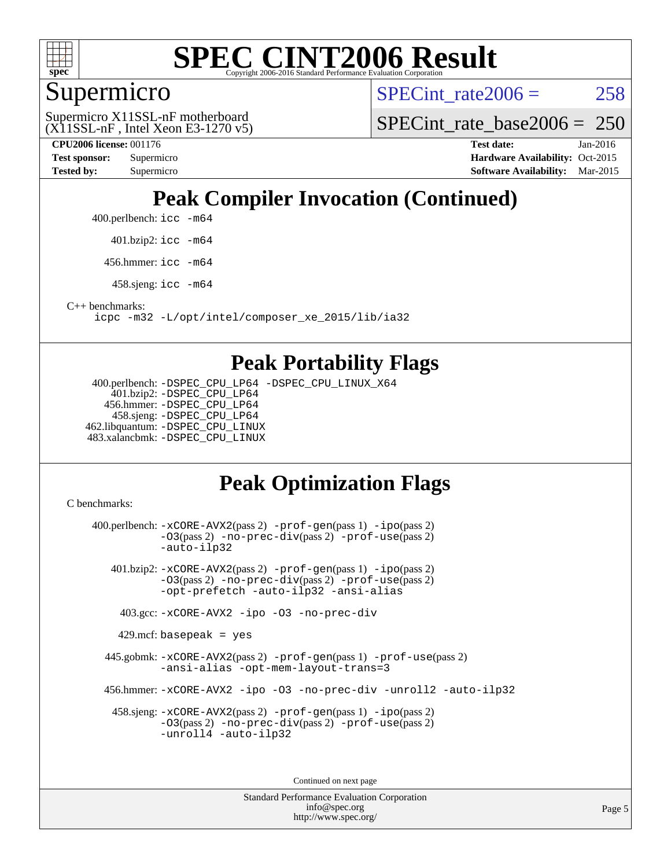

### Supermicro

SPECint rate $2006 = 258$ 

(X11SSL-nF , Intel Xeon E3-1270 v5) Supermicro X11SSL-nF motherboard

SPECint rate base2006 =  $250$ 

**[CPU2006 license:](http://www.spec.org/auto/cpu2006/Docs/result-fields.html#CPU2006license)** 001176 **[Test date:](http://www.spec.org/auto/cpu2006/Docs/result-fields.html#Testdate)** Jan-2016 **[Test sponsor:](http://www.spec.org/auto/cpu2006/Docs/result-fields.html#Testsponsor)** Supermicro Supermicro **[Hardware Availability:](http://www.spec.org/auto/cpu2006/Docs/result-fields.html#HardwareAvailability)** Oct-2015 **[Tested by:](http://www.spec.org/auto/cpu2006/Docs/result-fields.html#Testedby)** Supermicro **Supermicro [Software Availability:](http://www.spec.org/auto/cpu2006/Docs/result-fields.html#SoftwareAvailability)** Mar-2015

## **[Peak Compiler Invocation \(Continued\)](http://www.spec.org/auto/cpu2006/Docs/result-fields.html#PeakCompilerInvocation)**

400.perlbench: [icc -m64](http://www.spec.org/cpu2006/results/res2016q1/cpu2006-20160120-38733.flags.html#user_peakCCLD400_perlbench_intel_icc_64bit_bda6cc9af1fdbb0edc3795bac97ada53)

401.bzip2: [icc -m64](http://www.spec.org/cpu2006/results/res2016q1/cpu2006-20160120-38733.flags.html#user_peakCCLD401_bzip2_intel_icc_64bit_bda6cc9af1fdbb0edc3795bac97ada53)

456.hmmer: [icc -m64](http://www.spec.org/cpu2006/results/res2016q1/cpu2006-20160120-38733.flags.html#user_peakCCLD456_hmmer_intel_icc_64bit_bda6cc9af1fdbb0edc3795bac97ada53)

458.sjeng: [icc -m64](http://www.spec.org/cpu2006/results/res2016q1/cpu2006-20160120-38733.flags.html#user_peakCCLD458_sjeng_intel_icc_64bit_bda6cc9af1fdbb0edc3795bac97ada53)

[C++ benchmarks:](http://www.spec.org/auto/cpu2006/Docs/result-fields.html#CXXbenchmarks)

[icpc -m32 -L/opt/intel/composer\\_xe\\_2015/lib/ia32](http://www.spec.org/cpu2006/results/res2016q1/cpu2006-20160120-38733.flags.html#user_CXXpeak_intel_icpc_c2c99686a1a582c3e0de0b4806b02cea)

#### **[Peak Portability Flags](http://www.spec.org/auto/cpu2006/Docs/result-fields.html#PeakPortabilityFlags)**

 400.perlbench: [-DSPEC\\_CPU\\_LP64](http://www.spec.org/cpu2006/results/res2016q1/cpu2006-20160120-38733.flags.html#b400.perlbench_peakCPORTABILITY_DSPEC_CPU_LP64) [-DSPEC\\_CPU\\_LINUX\\_X64](http://www.spec.org/cpu2006/results/res2016q1/cpu2006-20160120-38733.flags.html#b400.perlbench_peakCPORTABILITY_DSPEC_CPU_LINUX_X64) 401.bzip2: [-DSPEC\\_CPU\\_LP64](http://www.spec.org/cpu2006/results/res2016q1/cpu2006-20160120-38733.flags.html#suite_peakCPORTABILITY401_bzip2_DSPEC_CPU_LP64) 456.hmmer: [-DSPEC\\_CPU\\_LP64](http://www.spec.org/cpu2006/results/res2016q1/cpu2006-20160120-38733.flags.html#suite_peakCPORTABILITY456_hmmer_DSPEC_CPU_LP64) 458.sjeng: [-DSPEC\\_CPU\\_LP64](http://www.spec.org/cpu2006/results/res2016q1/cpu2006-20160120-38733.flags.html#suite_peakCPORTABILITY458_sjeng_DSPEC_CPU_LP64) 462.libquantum: [-DSPEC\\_CPU\\_LINUX](http://www.spec.org/cpu2006/results/res2016q1/cpu2006-20160120-38733.flags.html#b462.libquantum_peakCPORTABILITY_DSPEC_CPU_LINUX) 483.xalancbmk: [-DSPEC\\_CPU\\_LINUX](http://www.spec.org/cpu2006/results/res2016q1/cpu2006-20160120-38733.flags.html#b483.xalancbmk_peakCXXPORTABILITY_DSPEC_CPU_LINUX)

## **[Peak Optimization Flags](http://www.spec.org/auto/cpu2006/Docs/result-fields.html#PeakOptimizationFlags)**

[C benchmarks](http://www.spec.org/auto/cpu2006/Docs/result-fields.html#Cbenchmarks):

 400.perlbench: [-xCORE-AVX2](http://www.spec.org/cpu2006/results/res2016q1/cpu2006-20160120-38733.flags.html#user_peakPASS2_CFLAGSPASS2_LDCFLAGS400_perlbench_f-xAVX2_5f5fc0cbe2c9f62c816d3e45806c70d7)(pass 2) [-prof-gen](http://www.spec.org/cpu2006/results/res2016q1/cpu2006-20160120-38733.flags.html#user_peakPASS1_CFLAGSPASS1_LDCFLAGS400_perlbench_prof_gen_e43856698f6ca7b7e442dfd80e94a8fc)(pass 1) [-ipo](http://www.spec.org/cpu2006/results/res2016q1/cpu2006-20160120-38733.flags.html#user_peakPASS2_CFLAGSPASS2_LDCFLAGS400_perlbench_f-ipo)(pass 2) [-O3](http://www.spec.org/cpu2006/results/res2016q1/cpu2006-20160120-38733.flags.html#user_peakPASS2_CFLAGSPASS2_LDCFLAGS400_perlbench_f-O3)(pass 2) [-no-prec-div](http://www.spec.org/cpu2006/results/res2016q1/cpu2006-20160120-38733.flags.html#user_peakPASS2_CFLAGSPASS2_LDCFLAGS400_perlbench_f-no-prec-div)(pass 2) [-prof-use](http://www.spec.org/cpu2006/results/res2016q1/cpu2006-20160120-38733.flags.html#user_peakPASS2_CFLAGSPASS2_LDCFLAGS400_perlbench_prof_use_bccf7792157ff70d64e32fe3e1250b55)(pass 2) [-auto-ilp32](http://www.spec.org/cpu2006/results/res2016q1/cpu2006-20160120-38733.flags.html#user_peakCOPTIMIZE400_perlbench_f-auto-ilp32) 401.bzip2: [-xCORE-AVX2](http://www.spec.org/cpu2006/results/res2016q1/cpu2006-20160120-38733.flags.html#user_peakPASS2_CFLAGSPASS2_LDCFLAGS401_bzip2_f-xAVX2_5f5fc0cbe2c9f62c816d3e45806c70d7)(pass 2) [-prof-gen](http://www.spec.org/cpu2006/results/res2016q1/cpu2006-20160120-38733.flags.html#user_peakPASS1_CFLAGSPASS1_LDCFLAGS401_bzip2_prof_gen_e43856698f6ca7b7e442dfd80e94a8fc)(pass 1) [-ipo](http://www.spec.org/cpu2006/results/res2016q1/cpu2006-20160120-38733.flags.html#user_peakPASS2_CFLAGSPASS2_LDCFLAGS401_bzip2_f-ipo)(pass 2) [-O3](http://www.spec.org/cpu2006/results/res2016q1/cpu2006-20160120-38733.flags.html#user_peakPASS2_CFLAGSPASS2_LDCFLAGS401_bzip2_f-O3)(pass 2) [-no-prec-div](http://www.spec.org/cpu2006/results/res2016q1/cpu2006-20160120-38733.flags.html#user_peakPASS2_CFLAGSPASS2_LDCFLAGS401_bzip2_f-no-prec-div)(pass 2) [-prof-use](http://www.spec.org/cpu2006/results/res2016q1/cpu2006-20160120-38733.flags.html#user_peakPASS2_CFLAGSPASS2_LDCFLAGS401_bzip2_prof_use_bccf7792157ff70d64e32fe3e1250b55)(pass 2) [-opt-prefetch](http://www.spec.org/cpu2006/results/res2016q1/cpu2006-20160120-38733.flags.html#user_peakCOPTIMIZE401_bzip2_f-opt-prefetch) [-auto-ilp32](http://www.spec.org/cpu2006/results/res2016q1/cpu2006-20160120-38733.flags.html#user_peakCOPTIMIZE401_bzip2_f-auto-ilp32) [-ansi-alias](http://www.spec.org/cpu2006/results/res2016q1/cpu2006-20160120-38733.flags.html#user_peakCOPTIMIZE401_bzip2_f-ansi-alias) 403.gcc: [-xCORE-AVX2](http://www.spec.org/cpu2006/results/res2016q1/cpu2006-20160120-38733.flags.html#user_peakCOPTIMIZE403_gcc_f-xAVX2_5f5fc0cbe2c9f62c816d3e45806c70d7) [-ipo](http://www.spec.org/cpu2006/results/res2016q1/cpu2006-20160120-38733.flags.html#user_peakCOPTIMIZE403_gcc_f-ipo) [-O3](http://www.spec.org/cpu2006/results/res2016q1/cpu2006-20160120-38733.flags.html#user_peakCOPTIMIZE403_gcc_f-O3) [-no-prec-div](http://www.spec.org/cpu2006/results/res2016q1/cpu2006-20160120-38733.flags.html#user_peakCOPTIMIZE403_gcc_f-no-prec-div)  $429$ .mcf: basepeak = yes 445.gobmk: [-xCORE-AVX2](http://www.spec.org/cpu2006/results/res2016q1/cpu2006-20160120-38733.flags.html#user_peakPASS2_CFLAGSPASS2_LDCFLAGS445_gobmk_f-xAVX2_5f5fc0cbe2c9f62c816d3e45806c70d7)(pass 2) [-prof-gen](http://www.spec.org/cpu2006/results/res2016q1/cpu2006-20160120-38733.flags.html#user_peakPASS1_CFLAGSPASS1_LDCFLAGS445_gobmk_prof_gen_e43856698f6ca7b7e442dfd80e94a8fc)(pass 1) [-prof-use](http://www.spec.org/cpu2006/results/res2016q1/cpu2006-20160120-38733.flags.html#user_peakPASS2_CFLAGSPASS2_LDCFLAGS445_gobmk_prof_use_bccf7792157ff70d64e32fe3e1250b55)(pass 2) [-ansi-alias](http://www.spec.org/cpu2006/results/res2016q1/cpu2006-20160120-38733.flags.html#user_peakCOPTIMIZE445_gobmk_f-ansi-alias) [-opt-mem-layout-trans=3](http://www.spec.org/cpu2006/results/res2016q1/cpu2006-20160120-38733.flags.html#user_peakCOPTIMIZE445_gobmk_f-opt-mem-layout-trans_a7b82ad4bd7abf52556d4961a2ae94d5) 456.hmmer: [-xCORE-AVX2](http://www.spec.org/cpu2006/results/res2016q1/cpu2006-20160120-38733.flags.html#user_peakCOPTIMIZE456_hmmer_f-xAVX2_5f5fc0cbe2c9f62c816d3e45806c70d7) [-ipo](http://www.spec.org/cpu2006/results/res2016q1/cpu2006-20160120-38733.flags.html#user_peakCOPTIMIZE456_hmmer_f-ipo) [-O3](http://www.spec.org/cpu2006/results/res2016q1/cpu2006-20160120-38733.flags.html#user_peakCOPTIMIZE456_hmmer_f-O3) [-no-prec-div](http://www.spec.org/cpu2006/results/res2016q1/cpu2006-20160120-38733.flags.html#user_peakCOPTIMIZE456_hmmer_f-no-prec-div) [-unroll2](http://www.spec.org/cpu2006/results/res2016q1/cpu2006-20160120-38733.flags.html#user_peakCOPTIMIZE456_hmmer_f-unroll_784dae83bebfb236979b41d2422d7ec2) [-auto-ilp32](http://www.spec.org/cpu2006/results/res2016q1/cpu2006-20160120-38733.flags.html#user_peakCOPTIMIZE456_hmmer_f-auto-ilp32) 458.sjeng: [-xCORE-AVX2](http://www.spec.org/cpu2006/results/res2016q1/cpu2006-20160120-38733.flags.html#user_peakPASS2_CFLAGSPASS2_LDCFLAGS458_sjeng_f-xAVX2_5f5fc0cbe2c9f62c816d3e45806c70d7)(pass 2) [-prof-gen](http://www.spec.org/cpu2006/results/res2016q1/cpu2006-20160120-38733.flags.html#user_peakPASS1_CFLAGSPASS1_LDCFLAGS458_sjeng_prof_gen_e43856698f6ca7b7e442dfd80e94a8fc)(pass 1) [-ipo](http://www.spec.org/cpu2006/results/res2016q1/cpu2006-20160120-38733.flags.html#user_peakPASS2_CFLAGSPASS2_LDCFLAGS458_sjeng_f-ipo)(pass 2) [-O3](http://www.spec.org/cpu2006/results/res2016q1/cpu2006-20160120-38733.flags.html#user_peakPASS2_CFLAGSPASS2_LDCFLAGS458_sjeng_f-O3)(pass 2) [-no-prec-div](http://www.spec.org/cpu2006/results/res2016q1/cpu2006-20160120-38733.flags.html#user_peakPASS2_CFLAGSPASS2_LDCFLAGS458_sjeng_f-no-prec-div)(pass 2) [-prof-use](http://www.spec.org/cpu2006/results/res2016q1/cpu2006-20160120-38733.flags.html#user_peakPASS2_CFLAGSPASS2_LDCFLAGS458_sjeng_prof_use_bccf7792157ff70d64e32fe3e1250b55)(pass 2) [-unroll4](http://www.spec.org/cpu2006/results/res2016q1/cpu2006-20160120-38733.flags.html#user_peakCOPTIMIZE458_sjeng_f-unroll_4e5e4ed65b7fd20bdcd365bec371b81f) [-auto-ilp32](http://www.spec.org/cpu2006/results/res2016q1/cpu2006-20160120-38733.flags.html#user_peakCOPTIMIZE458_sjeng_f-auto-ilp32)

> Standard Performance Evaluation Corporation [info@spec.org](mailto:info@spec.org) <http://www.spec.org/>

Continued on next page